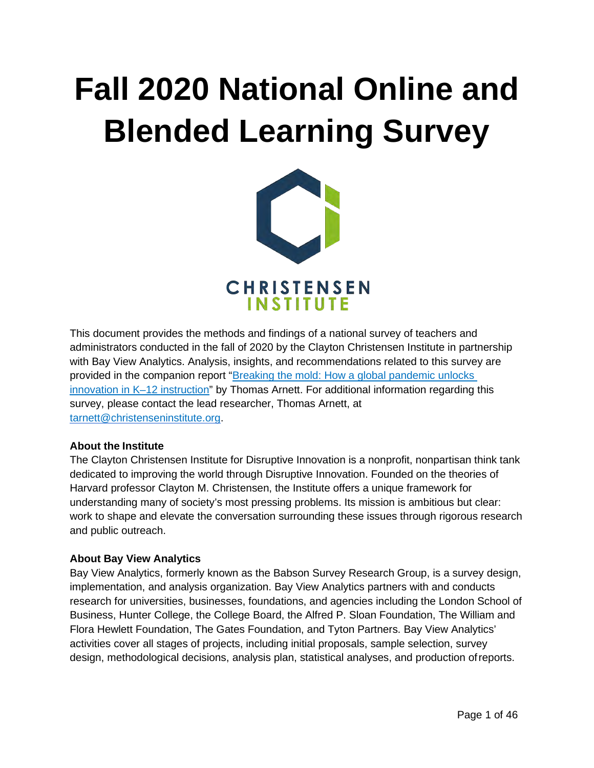# **Fall 2020 National Online and Blended Learning Survey**



This document provides the methods and findings of a national survey of teachers and administrators conducted in the fall of 2020 by the Clayton Christensen Institute in partnership with Bay View Analytics. Analysis, insights, and recommendations related to this survey are provided in the companion report ["Breaking the mold: How a global pandemic unlocks](https://www.christenseninstitute.org/publications/online-learning-survey/)  [innovation in K–12 instruction"](https://www.christenseninstitute.org/publications/online-learning-survey/) by Thomas Arnett. For additional information regarding this survey, please contact the lead researcher, Thomas Arnett, at [tarnett@christenseninstitute.org.](mailto:tarnett@christenseninstitute.org)

### **About the Institute**

The Clayton Christensen Institute for Disruptive Innovation is a nonprofit, nonpartisan think tank dedicated to improving the world through Disruptive Innovation. Founded on the theories of Harvard professor Clayton M. Christensen, the Institute offers a unique framework for understanding many of society's most pressing problems. Its mission is ambitious but clear: work to shape and elevate the conversation surrounding these issues through rigorous research and public outreach.

### **About Bay View Analytics**

Bay View Analytics, formerly known as the Babson Survey Research Group, is a survey design, implementation, and analysis organization. Bay View Analytics partners with and conducts research for universities, businesses, foundations, and agencies including the London School of Business, Hunter College, the College Board, the Alfred P. Sloan Foundation, The William and Flora Hewlett Foundation, The Gates Foundation, and Tyton Partners. Bay View Analytics' activities cover all stages of projects, including initial proposals, sample selection, survey design, methodological decisions, analysis plan, statistical analyses, and production ofreports.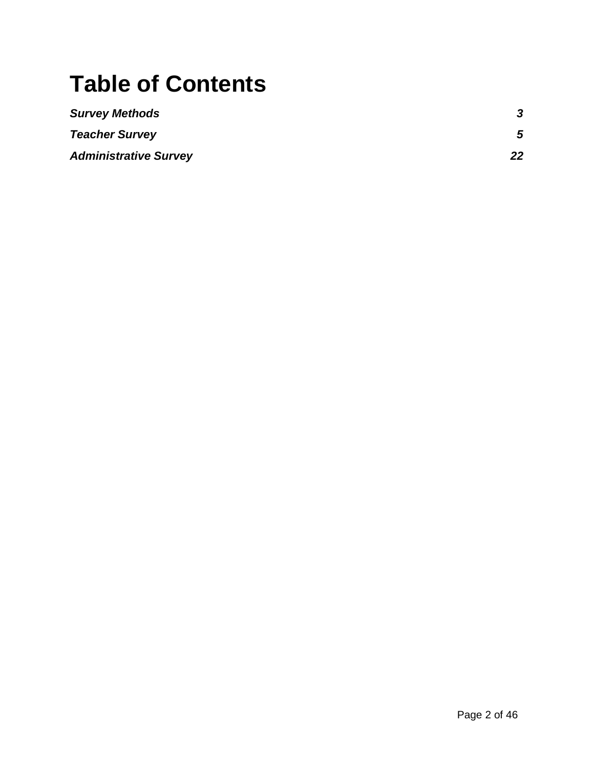# **Table of Contents**

| <b>Survey Methods</b>        |    |
|------------------------------|----|
| <b>Teacher Survey</b>        | 5  |
| <b>Administrative Survey</b> | 22 |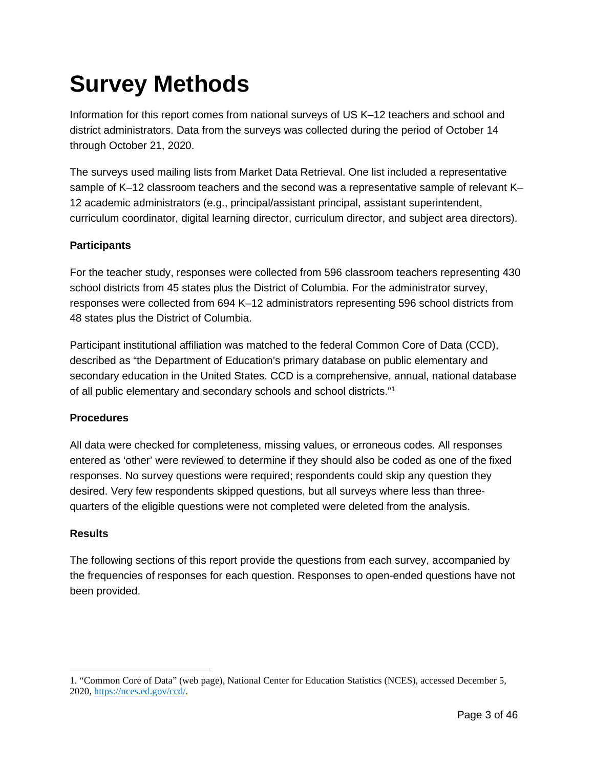# <span id="page-2-0"></span>**Survey Methods**

Information for this report comes from national surveys of US K–12 teachers and school and district administrators. Data from the surveys was collected during the period of October 14 through October 21, 2020.

The surveys used mailing lists from Market Data Retrieval. One list included a representative sample of K–12 classroom teachers and the second was a representative sample of relevant K– 12 academic administrators (e.g., principal/assistant principal, assistant superintendent, curriculum coordinator, digital learning director, curriculum director, and subject area directors).

### **Participants**

For the teacher study, responses were collected from 596 classroom teachers representing 430 school districts from 45 states plus the District of Columbia. For the administrator survey, responses were collected from 694 K–12 administrators representing 596 school districts from 48 states plus the District of Columbia.

Participant institutional affiliation was matched to the federal Common Core of Data (CCD), described as "the Department of Education's primary database on public elementary and secondary education in the United States. CCD is a comprehensive, annual, national database of all public elementary and secondary schools and school districts.["1](#page-2-1)

### **Procedures**

All data were checked for completeness, missing values, or erroneous codes. All responses entered as 'other' were reviewed to determine if they should also be coded as one of the fixed responses. No survey questions were required; respondents could skip any question they desired. Very few respondents skipped questions, but all surveys where less than threequarters of the eligible questions were not completed were deleted from the analysis.

### **Results**

The following sections of this report provide the questions from each survey, accompanied by the frequencies of responses for each question. Responses to open-ended questions have not been provided.

<span id="page-2-1"></span><sup>1. &</sup>quot;Common Core of Data" (web page), National Center for Education Statistics (NCES), accessed December 5, 2020, [https://nces.ed.gov/ccd/.](https://nces.ed.gov/ccd/)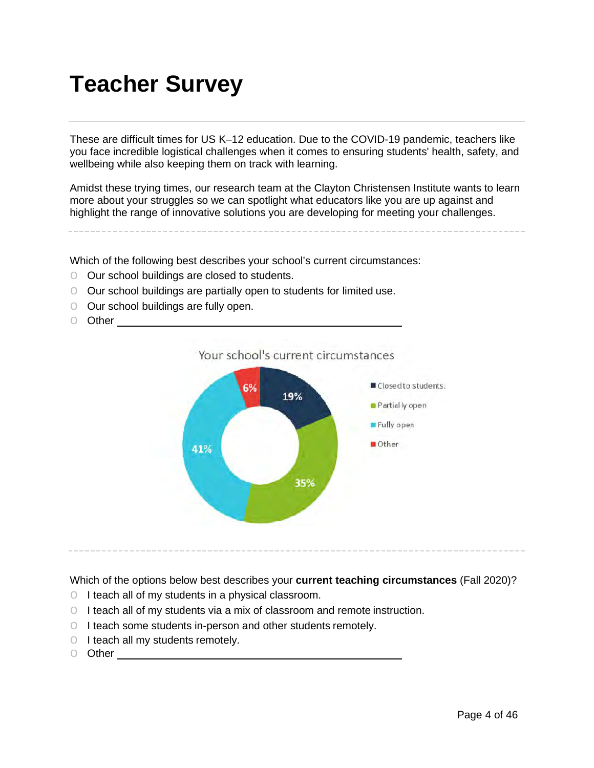# <span id="page-3-0"></span>**Teacher Survey**

These are difficult times for US K–12 education. Due to the COVID-19 pandemic, teachers like you face incredible logistical challenges when it comes to ensuring students' health, safety, and wellbeing while also keeping them on track with learning.

Amidst these trying times, our research team at the Clayton Christensen Institute wants to learn more about your struggles so we can spotlight what educators like you are up against and highlight the range of innovative solutions you are developing for meeting your challenges.

Which of the following best describes your school's current circumstances:

- o Our school buildings are closed to students.
- o Our school buildings are partially open to students for limited use.
- o Our school buildings are fully open.
- o Other



Which of the options below best describes your **current teaching circumstances** (Fall 2020)?

- o I teach all of my students in a physical classroom.
- o I teach all of my students via a mix of classroom and remote instruction.
- o I teach some students in-person and other students remotely.
- o I teach all my students remotely.
- o Other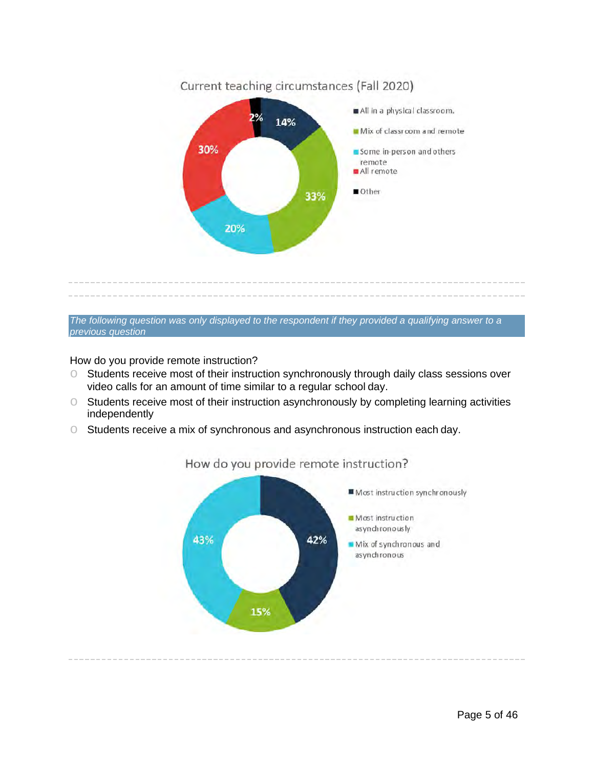

*The following question was only displayed to the respondent if they provided a qualifying answer to a previous question*

How do you provide remote instruction?

- o Students receive most of their instruction synchronously through daily class sessions over video calls for an amount of time similar to a regular school day.
- o Students receive most of their instruction asynchronously by completing learning activities independently
- o Students receive a mix of synchronous and asynchronous instruction each day.



### How do you provide remote instruction?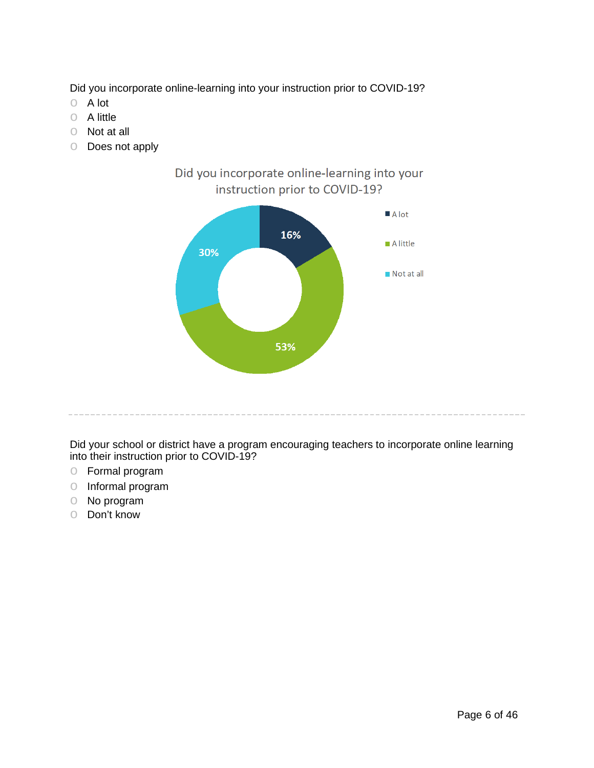Did you incorporate online-learning into your instruction prior to COVID-19?

- o A lot
- o A little
- o Not at all
- o Does not apply



Did your school or district have a program encouraging teachers to incorporate online learning into their instruction prior to COVID-19?

- o Formal program
- o Informal program
- o No program
- o Don't know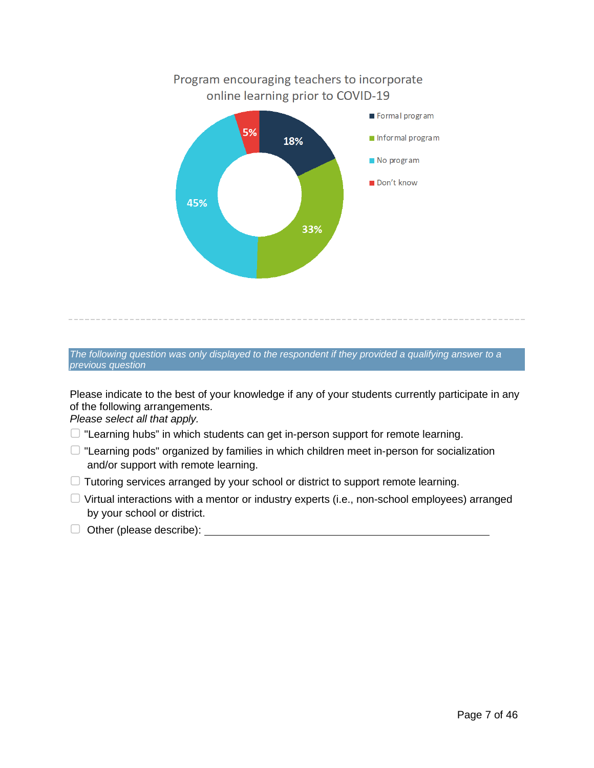

*The following question was only displayed to the respondent if they provided a qualifying answer to a previous question*

Please indicate to the best of your knowledge if any of your students currently participate in any of the following arrangements.

*Please select all that apply.*

- $\Box$  "Learning hubs" in which students can get in-person support for remote learning.
- $\Box$  "Learning pods" organized by families in which children meet in-person for socialization and/or support with remote learning.
- ▢ Tutoring services arranged by your school or district to support remote learning.
- $\Box$  Virtual interactions with a mentor or industry experts (i.e., non-school employees) arranged by your school or district.
- ▢ Other (please describe):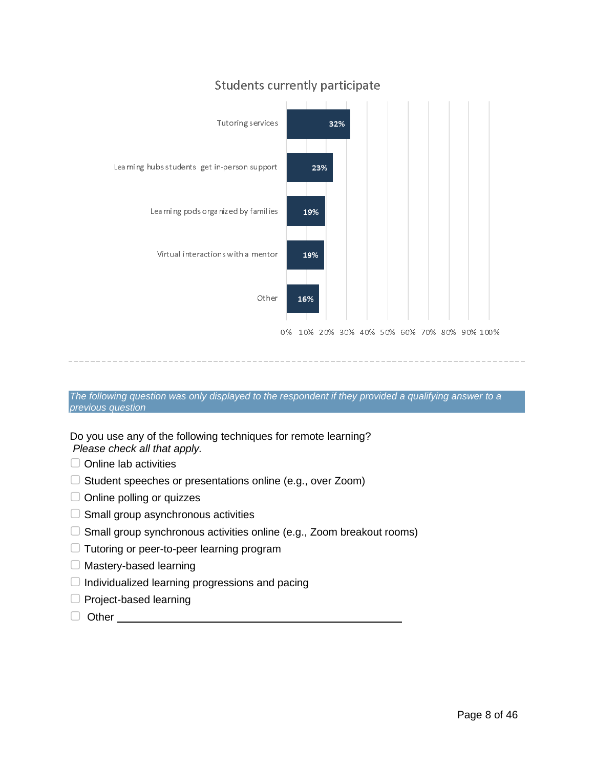### **Students currently participate**



*The following question was only displayed to the respondent if they provided a qualifying answer to a previous question*

Do you use any of the following techniques for remote learning? *Please check all that apply.*

- □ Online lab activities
- $\Box$  Student speeches or presentations online (e.g., over Zoom)
- ▢ Online polling or quizzes
- $\Box$  Small group asynchronous activities
- $\Box$  Small group synchronous activities online (e.g., Zoom breakout rooms)
- ▢ Tutoring or peer-to-peer learning program
- ▢ Mastery-based learning
- $\Box$  Individualized learning progressions and pacing
- □ Project-based learning
- □ Other **Definition**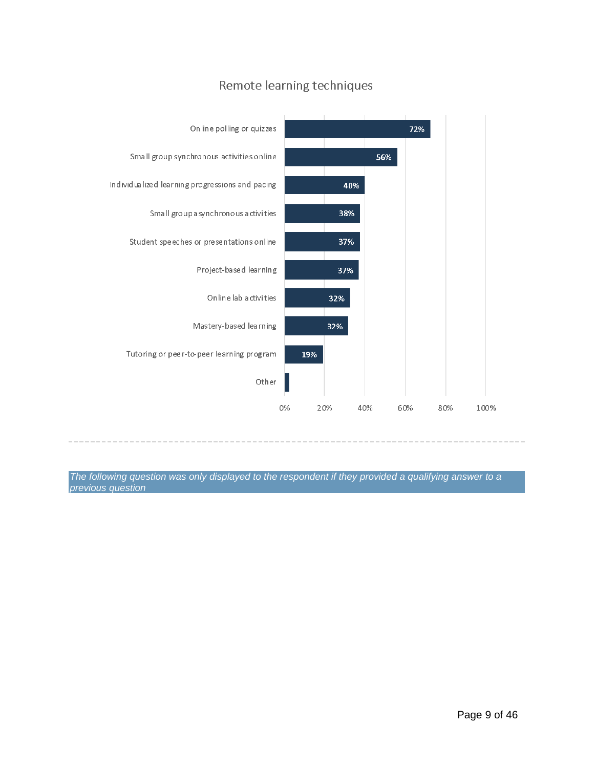

### Remote learning techniques

*The following question was only displayed to the respondent if they provided a qualifying answer to a previous question*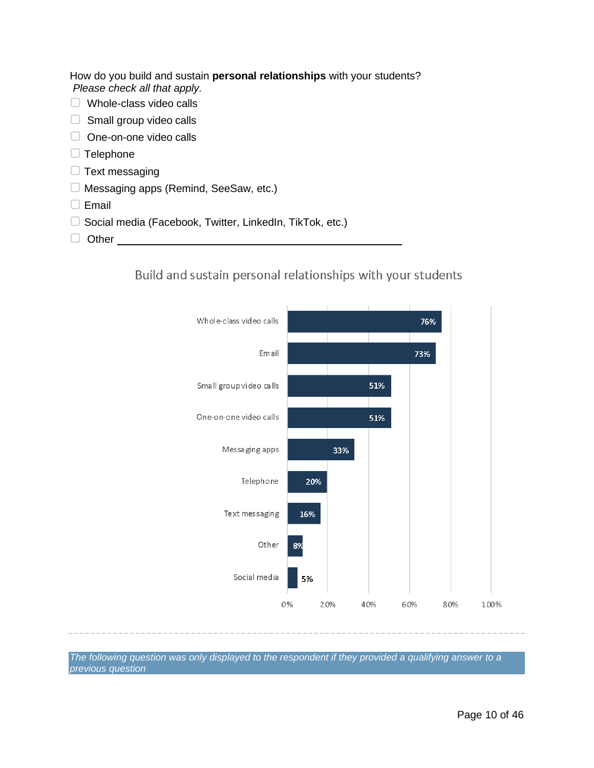How do you build and sustain **personal relationships** with your students? *Please check all that apply.*

- ▢ Whole-class video calls
- $\Box$  Small group video calls
- □ One-on-one video calls
- □ Telephone
- $\Box$  Text messaging
- ▢ Messaging apps (Remind, SeeSaw, etc.)
- ▢ Email
- □ Social media (Facebook, Twitter, LinkedIn, TikTok, etc.)
- □ Other **Definition**

Build and sustain personal relationships with your students



*The following question was only displayed to the respondent if they provided a qualifying answer to a previous question*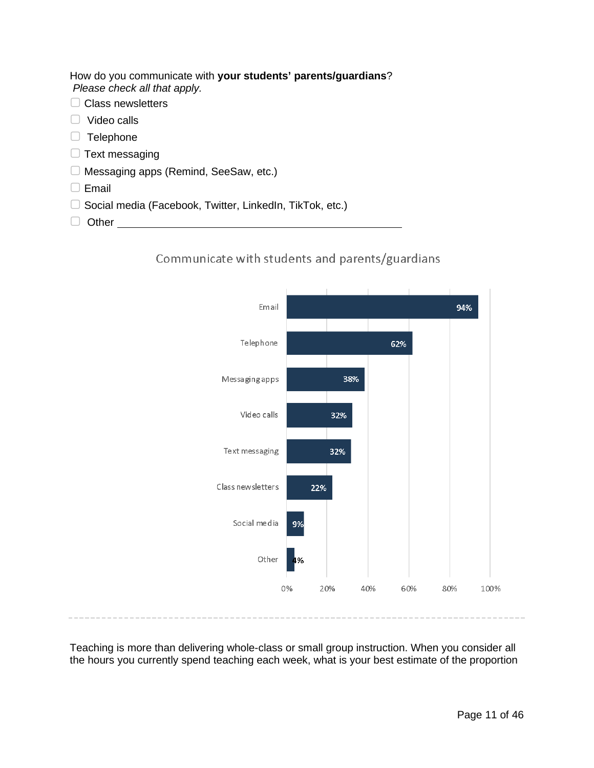How do you communicate with **your students' parents/guardians**? *Please check all that apply.*

- □ Class newsletters
- ▢ Video calls
- □ Telephone
- $\Box$  Text messaging
- ▢ Messaging apps (Remind, SeeSaw, etc.)
- ▢ Email
- ▢ Social media (Facebook, Twitter, LinkedIn, TikTok, etc.)
- □ Other <u>\_\_\_\_\_\_\_\_\_\_\_\_\_\_\_</u>





Teaching is more than delivering whole-class or small group instruction. When you consider all the hours you currently spend teaching each week, what is your best estimate of the proportion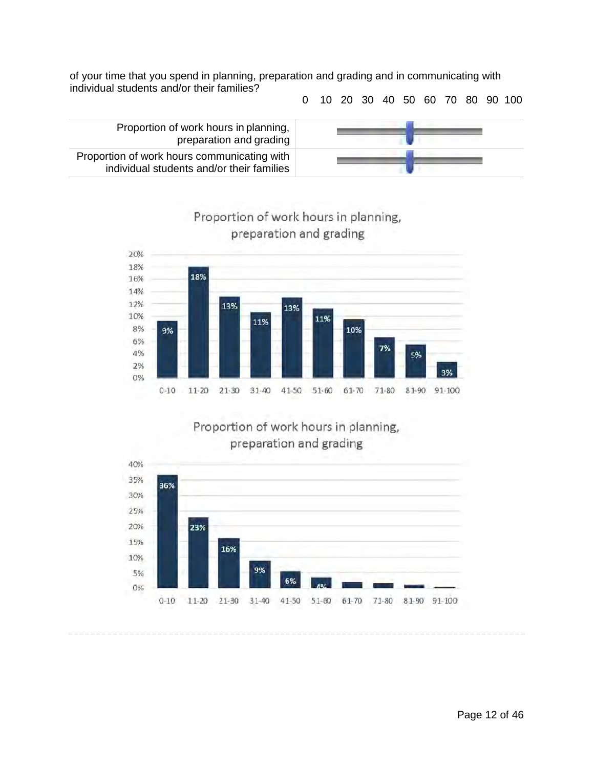of your time that you spend in planning, preparation and grading and in communicating with individual students and/or their families?

0 10 20 30 40 50 60 70 80 90 100



Proportion of work hours in planning, preparation and grading Proportion of work hours communicating with individual students and/or their families



Proportion of work hours in planning,



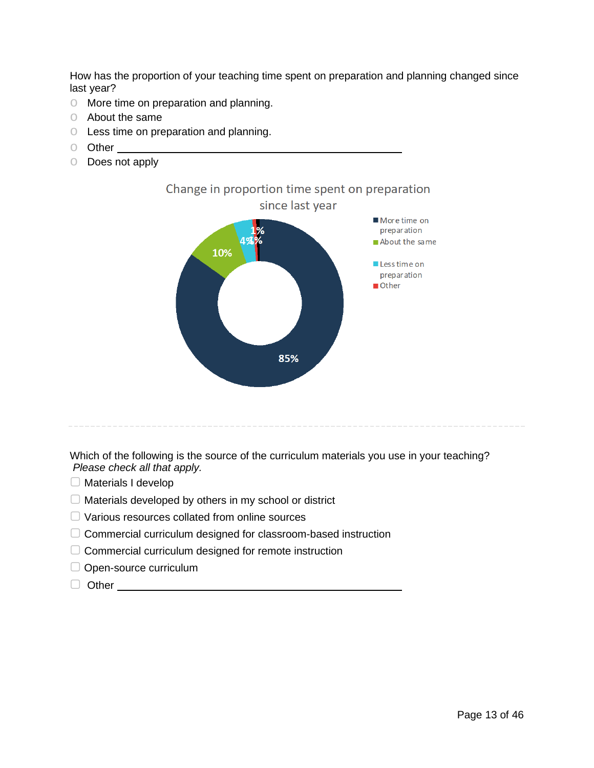How has the proportion of your teaching time spent on preparation and planning changed since last year?

- o More time on preparation and planning.
- o About the same
- o Less time on preparation and planning.
- o Other
- o Does not apply



Which of the following is the source of the curriculum materials you use in your teaching? *Please check all that apply.*

- ▢ Materials I develop
- $\Box$  Materials developed by others in my school or district
- ▢ Various resources collated from online sources
- ▢ Commercial curriculum designed for classroom-based instruction
- □ Commercial curriculum designed for remote instruction
- □ Open-source curriculum
- □ Other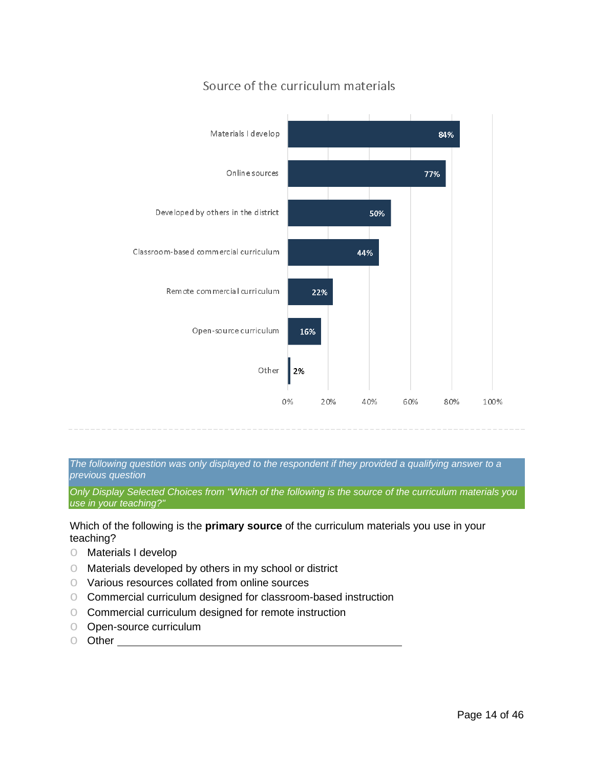

# Source of the curriculum materials

*The following question was only displayed to the respondent if they provided a qualifying answer to a previous question*

*Only Display Selected Choices from "Which of the following is the source of the curriculum materials you use in your teaching?"*

Which of the following is the **primary source** of the curriculum materials you use in your teaching?

- o Materials I develop
- o Materials developed by others in my school or district
- o Various resources collated from online sources
- o Commercial curriculum designed for classroom-based instruction
- o Commercial curriculum designed for remote instruction
- o Open-source curriculum
- o Other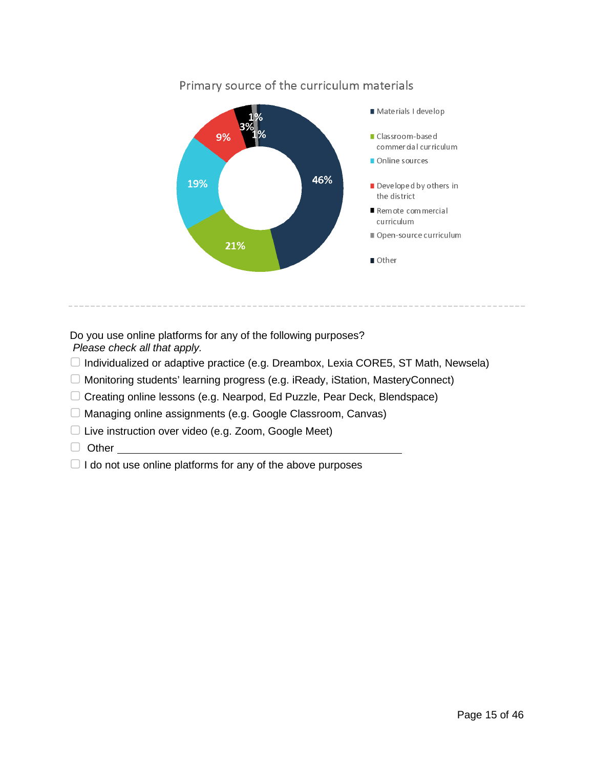

### Primary source of the curriculum materials

Do you use online platforms for any of the following purposes? *Please check all that apply.*

- $\Box$  Individualized or adaptive practice (e.g. Dreambox, Lexia CORE5, ST Math, Newsela)
- ▢ Monitoring students' learning progress (e.g. iReady, iStation, MasteryConnect)
- ▢ Creating online lessons (e.g. Nearpod, Ed Puzzle, Pear Deck, Blendspace)
- ▢ Managing online assignments (e.g. Google Classroom, Canvas)
- ▢ Live instruction over video (e.g. Zoom, Google Meet)
- □ Other
- $\Box$  I do not use online platforms for any of the above purposes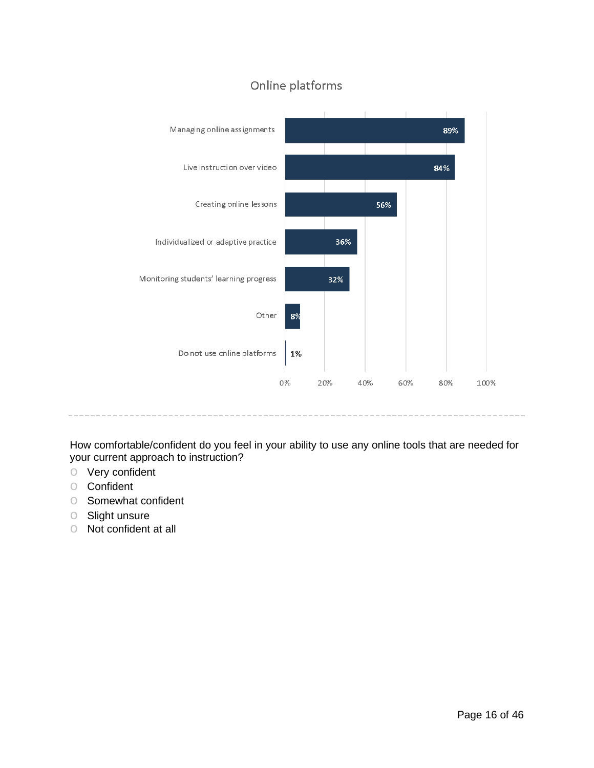

# Online platforms

How comfortable/confident do you feel in your ability to use any online tools that are needed for your current approach to instruction?

- o Very confident
- o Confident
- o Somewhat confident
- o Slight unsure
- o Not confident at all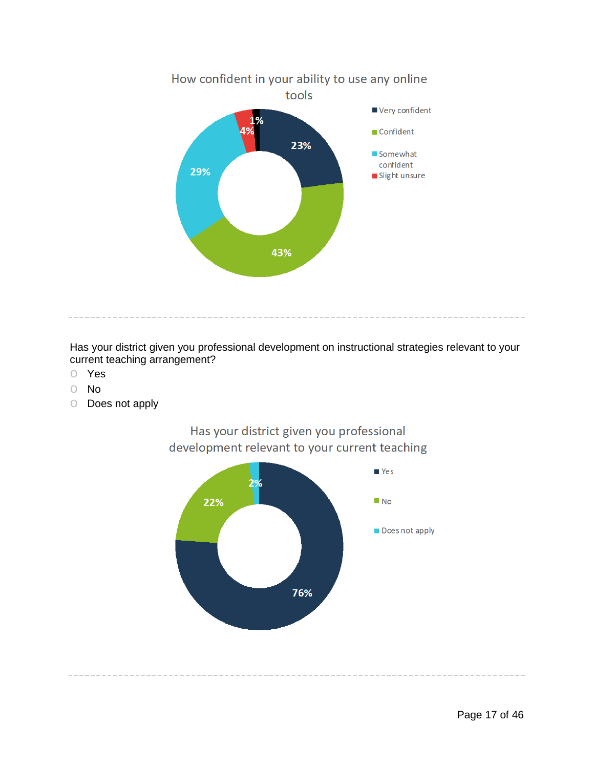

Has your district given you professional development on instructional strategies relevant to your current teaching arrangement?

- o Yes
- o No
- o Does not apply



Has your district given you professional development relevant to your current teaching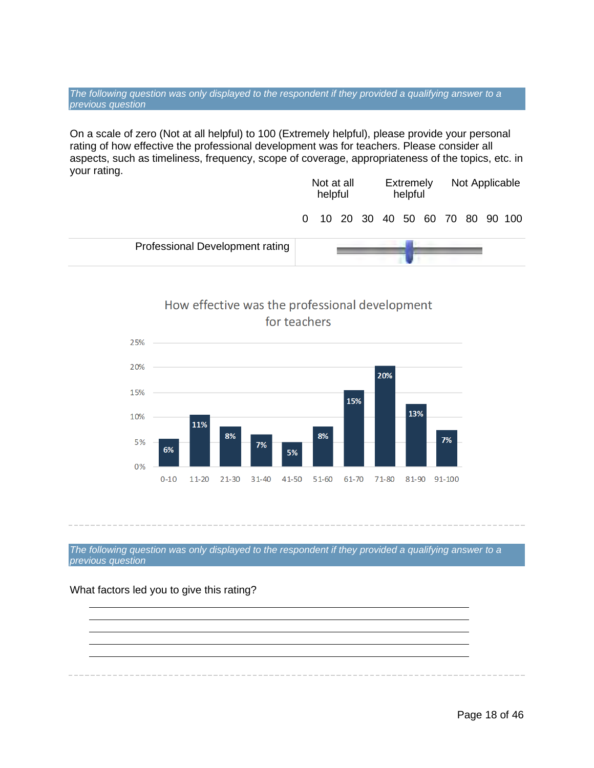*The following question was only displayed to the respondent if they provided a qualifying answer to a previous question*

On a scale of zero (Not at all helpful) to 100 (Extremely helpful), please provide your personal rating of how effective the professional development was for teachers. Please consider all aspects, such as timeliness, frequency, scope of coverage, appropriateness of the topics, etc. in your rating. Not at all Extremely Not Applicable

|                                 | <b>IVUL AL AIL</b><br>helpful |  |  | <b>LAUGHIGIY</b><br>helpful |  |  | <b>INUL Applicable</b> |  |  |  |                                  |
|---------------------------------|-------------------------------|--|--|-----------------------------|--|--|------------------------|--|--|--|----------------------------------|
|                                 |                               |  |  |                             |  |  |                        |  |  |  | 0 10 20 30 40 50 60 70 80 90 100 |
| Professional Development rating |                               |  |  |                             |  |  |                        |  |  |  |                                  |



*The following question was only displayed to the respondent if they provided a qualifying answer to a previous question*

#### What factors led you to give this rating?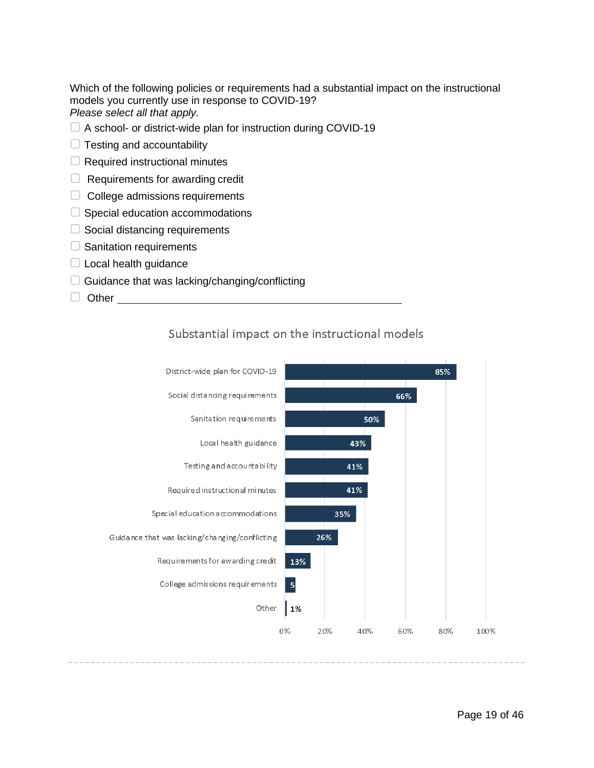Which of the following policies or requirements had a substantial impact on the instructional models you currently use in response to COVID-19? *Please select all that apply.*

- □ A school- or district-wide plan for instruction during COVID-19
- $\Box$  Testing and accountability
- $\Box$  Required instructional minutes
- $\Box$  Requirements for awarding credit
- ▢ College admissions requirements
- □ Special education accommodations
- $\Box$  Social distancing requirements
- □ Sanitation requirements
- $\Box$  Local health guidance
- $\Box$  Guidance that was lacking/changing/conflicting
- □ Other



### Substantial impact on the instructional models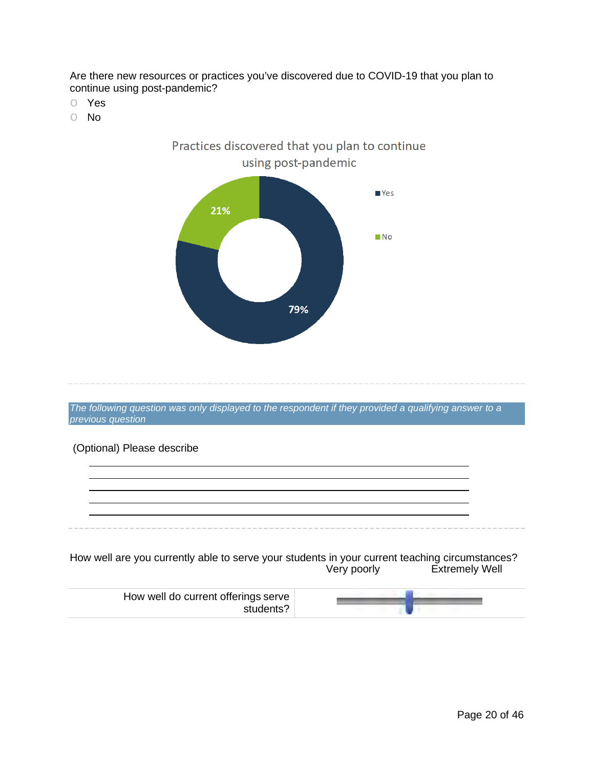Are there new resources or practices you've discovered due to COVID-19 that you plan to continue using post-pandemic?

- o Yes
- o No



*The following question was only displayed to the respondent if they provided a qualifying answer to a previous question*

### (Optional) Please describe

How well are you currently able to serve your students in your current teaching circumstances? Very poorly Extremely Well

| How well do current offerings serve |  |
|-------------------------------------|--|
|-------------------------------------|--|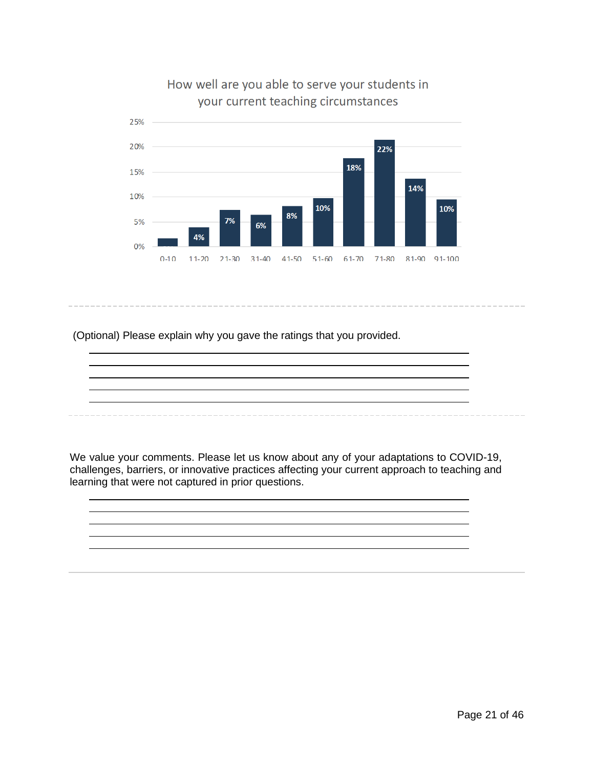

# How well are you able to serve your students in your current teaching circumstances

(Optional) Please explain why you gave the ratings that you provided.

We value your comments. Please let us know about any of your adaptations to COVID-19, challenges, barriers, or innovative practices affecting your current approach to teaching and learning that were not captured in prior questions.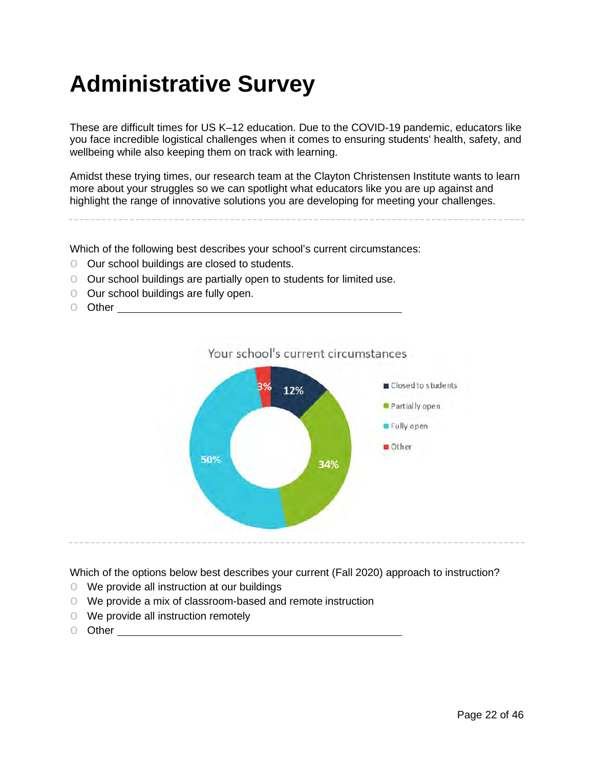# <span id="page-21-0"></span>**Administrative Survey**

These are difficult times for US K–12 education. Due to the COVID-19 pandemic, educators like you face incredible logistical challenges when it comes to ensuring students' health, safety, and wellbeing while also keeping them on track with learning.

Amidst these trying times, our research team at the Clayton Christensen Institute wants to learn more about your struggles so we can spotlight what educators like you are up against and highlight the range of innovative solutions you are developing for meeting your challenges.

Which of the following best describes your school's current circumstances:

- o Our school buildings are closed to students.
- o Our school buildings are partially open to students for limited use.
- o Our school buildings are fully open.
- Other <u>\_\_\_\_\_\_\_\_\_\_\_\_\_</u>



Which of the options below best describes your current (Fall 2020) approach to instruction?

- o We provide all instruction at our buildings
- o We provide a mix of classroom-based and remote instruction
- o We provide all instruction remotely
- o Other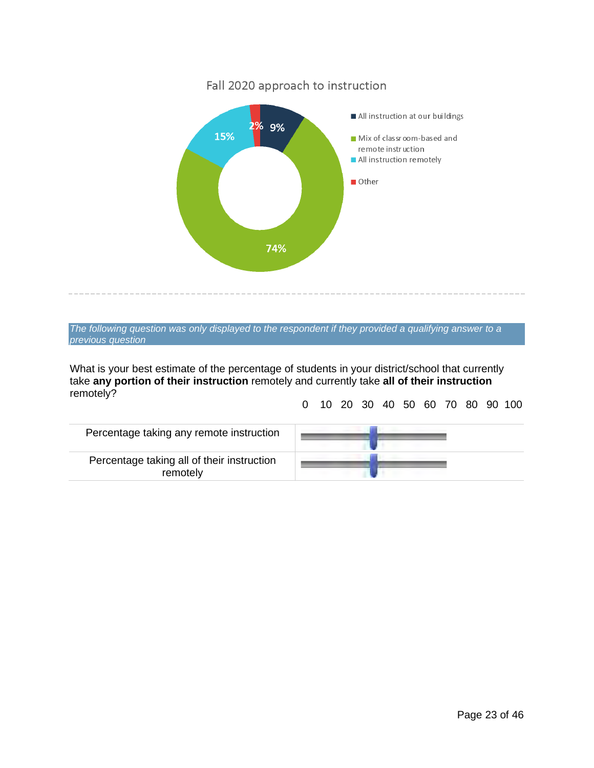

*The following question was only displayed to the respondent if they provided a qualifying answer to a previous question*

What is your best estimate of the percentage of students in your district/school that currently take **any portion of their instruction** remotely and currently take **all of their instruction**  remotely?

0 10 20 30 40 50 60 70 80 90 100

| Percentage taking any remote instruction               |  |
|--------------------------------------------------------|--|
| Percentage taking all of their instruction<br>remotely |  |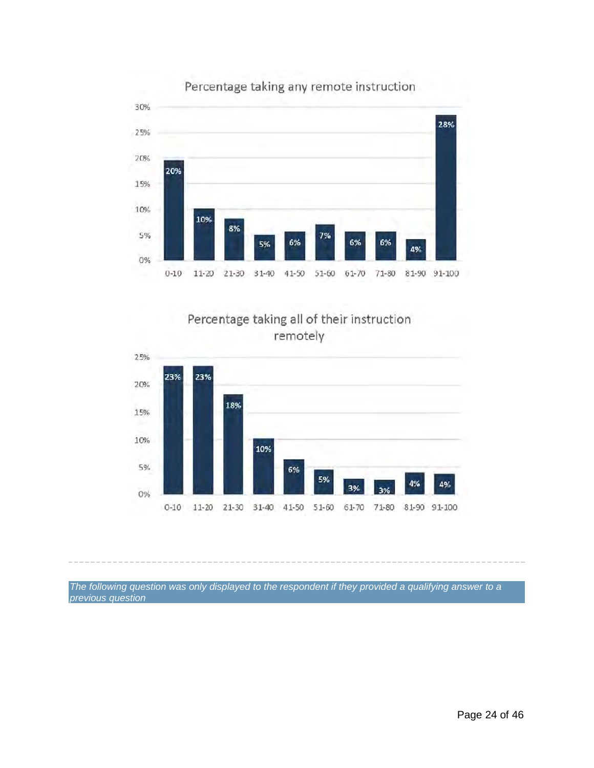

### Percentage taking any remote instruction





*The following question was only displayed to the respondent if they provided a qualifying answer to a previous question*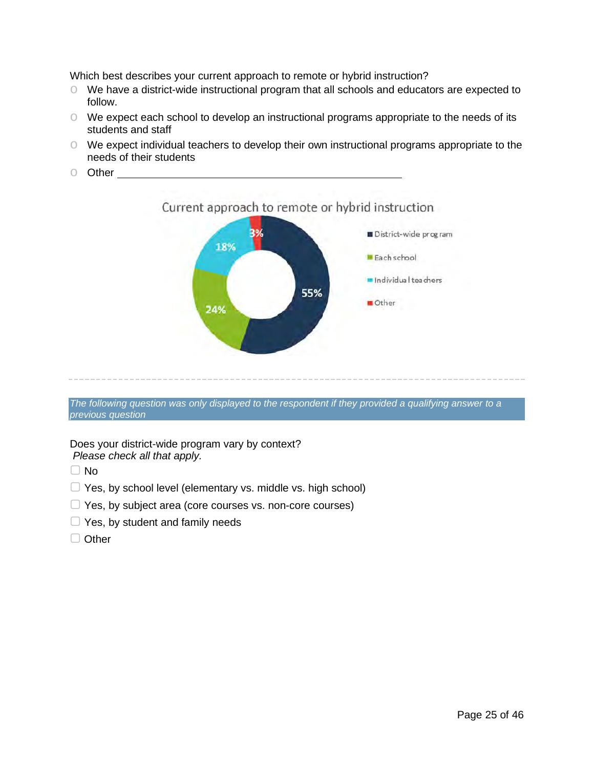Which best describes your current approach to remote or hybrid instruction?

- o We have a district-wide instructional program that all schools and educators are expected to follow.
- o We expect each school to develop an instructional programs appropriate to the needs of its students and staff
- o We expect individual teachers to develop their own instructional programs appropriate to the needs of their students
	- Current approach to remote or hybrid instruction District-wide program 18% Each school Individual teachers 55% Other 24%
- o Other

*The following question was only displayed to the respondent if they provided a qualifying answer to a previous question*

#### Does your district-wide program vary by context? *Please check all that apply.*

 $\Box$  No

- □ Yes, by school level (elementary vs. middle vs. high school)
- ▢ Yes, by subject area (core courses vs. non-core courses)
- $\Box$  Yes, by student and family needs
- □ Other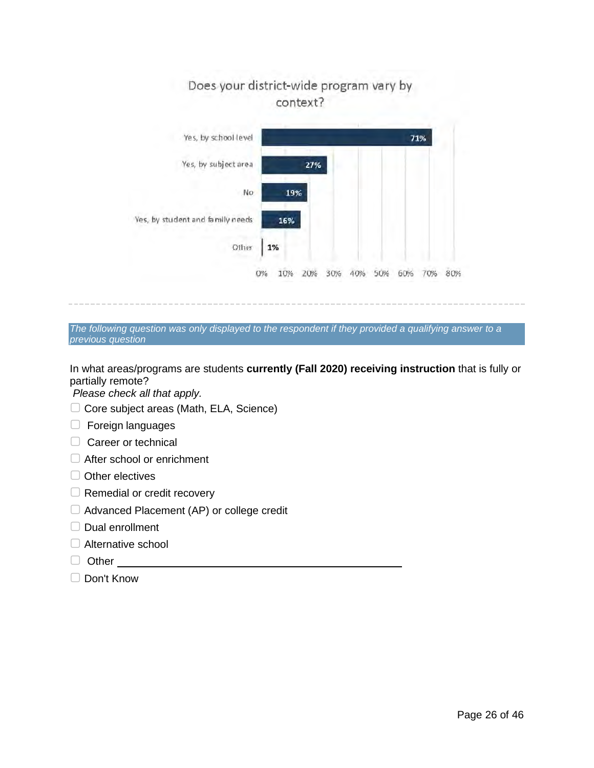

*The following question was only displayed to the respondent if they provided a qualifying answer to a previous question*

In what areas/programs are students **currently (Fall 2020) receiving instruction** that is fully or partially remote?

*Please check all that apply.*

- ▢ Core subject areas (Math, ELA, Science)
- ▢ Foreign languages
- □ Career or technical
- □ After school or enrichment
- □ Other electives
- □ Remedial or credit recovery
- ▢ Advanced Placement (AP) or college credit
- ▢ Dual enrollment
- □ Alternative school
- ▢ Other
- ▢ Don't Know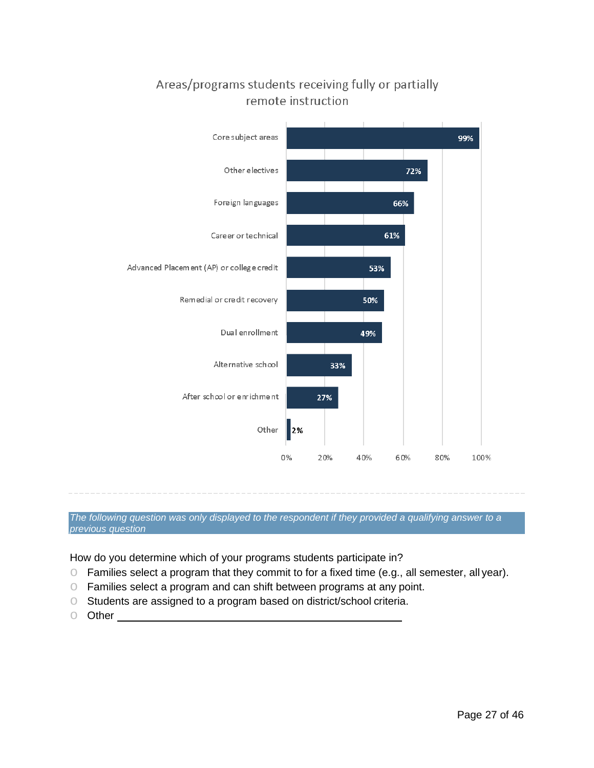

# Areas/programs students receiving fully or partially remote instruction

*The following question was only displayed to the respondent if they provided a qualifying answer to a previous question*

How do you determine which of your programs students participate in?

- o Families select a program that they commit to for a fixed time (e.g., all semester, all year).
- o Families select a program and can shift between programs at any point.
- o Students are assigned to a program based on district/school criteria.
- o Other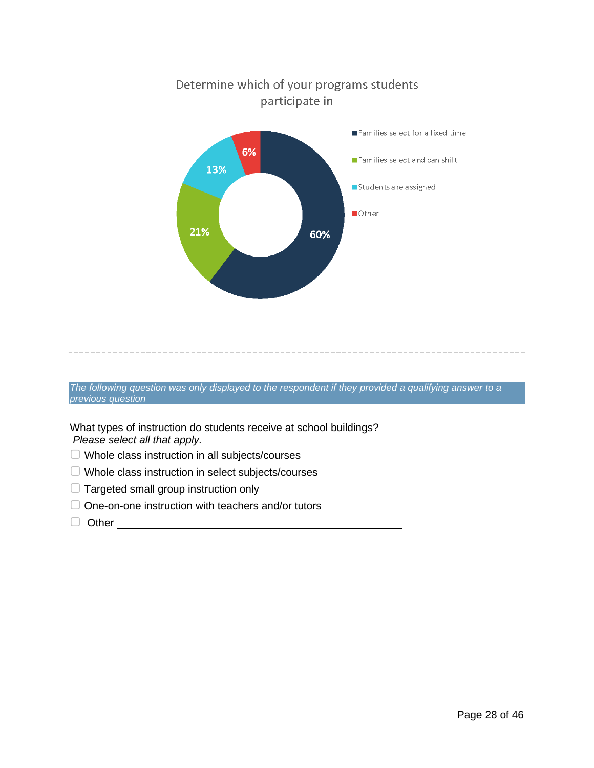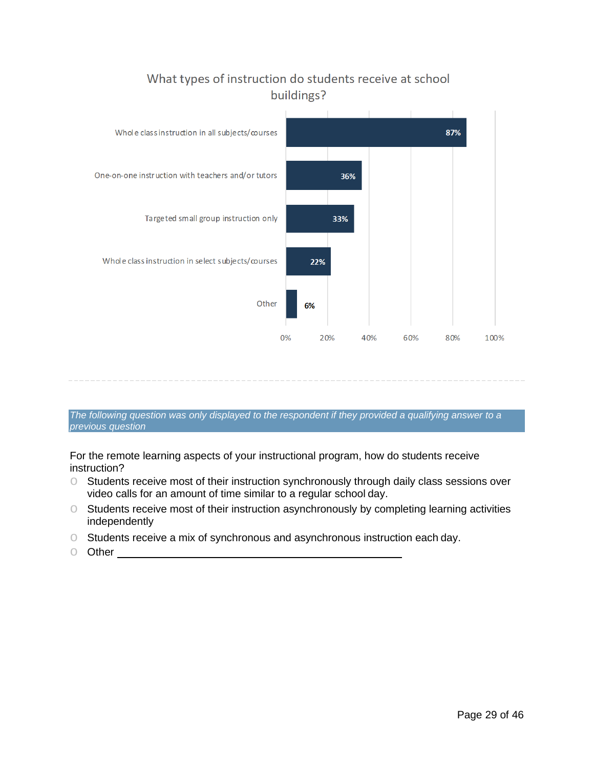

# What types of instruction do students receive at school buildings?

#### *The following question was only displayed to the respondent if they provided a qualifying answer to a previous question*

For the remote learning aspects of your instructional program, how do students receive instruction?

- o Students receive most of their instruction synchronously through daily class sessions over video calls for an amount of time similar to a regular school day.
- o Students receive most of their instruction asynchronously by completing learning activities independently
- o Students receive a mix of synchronous and asynchronous instruction each day.
- o Other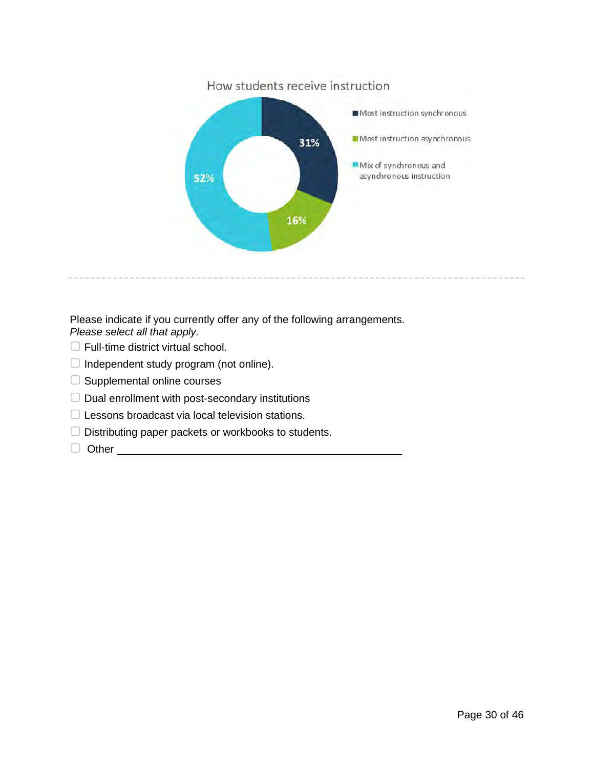

Please indicate if you currently offer any of the following arrangements. *Please select all that apply.*

- □ Full-time district virtual school.
- $\Box$  Independent study program (not online).
- □ Supplemental online courses
- $\Box$  Dual enrollment with post-secondary institutions
- ▢ Lessons broadcast via local television stations.
- ▢ Distributing paper packets or workbooks to students.
- ▢ Other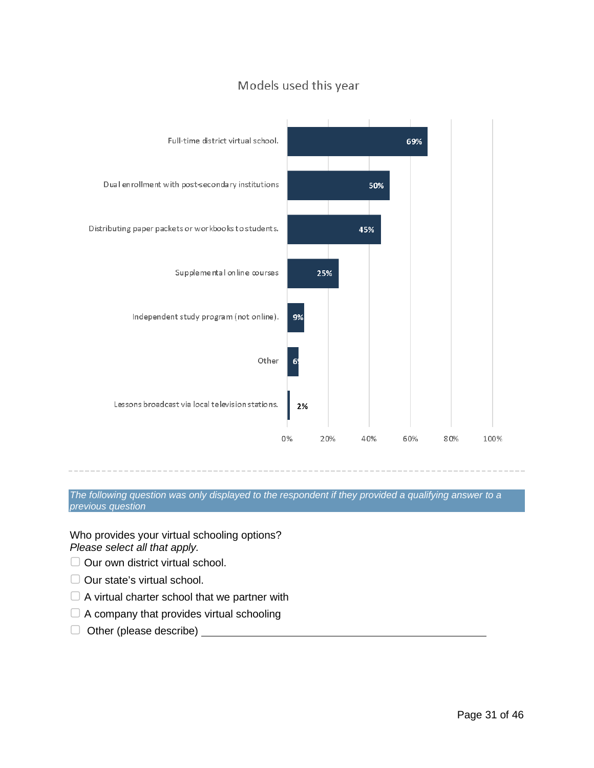



*The following question was only displayed to the respondent if they provided a qualifying answer to a previous question*

Who provides your virtual schooling options? *Please select all that apply.*

- ▢ Our own district virtual school.
- $\Box$  Our state's virtual school.
- $\Box$  A virtual charter school that we partner with
- □ A company that provides virtual schooling
- ▢ Other (please describe)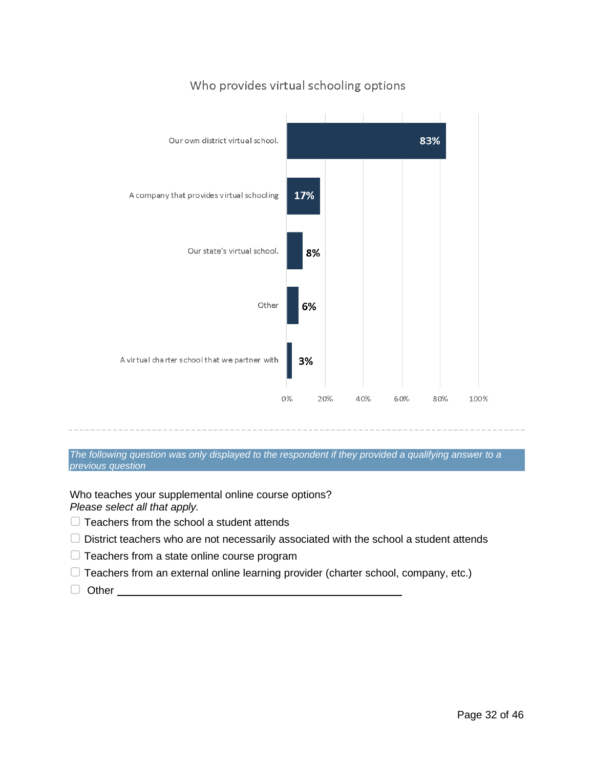

### Who provides virtual schooling options

*The following question was only displayed to the respondent if they provided a qualifying answer to a previous question*

Who teaches your supplemental online course options?

*Please select all that apply.*

- $\Box$  Teachers from the school a student attends
- $\Box$  District teachers who are not necessarily associated with the school a student attends
- ▢ Teachers from a state online course program
- $\Box$  Teachers from an external online learning provider (charter school, company, etc.)
- □ Other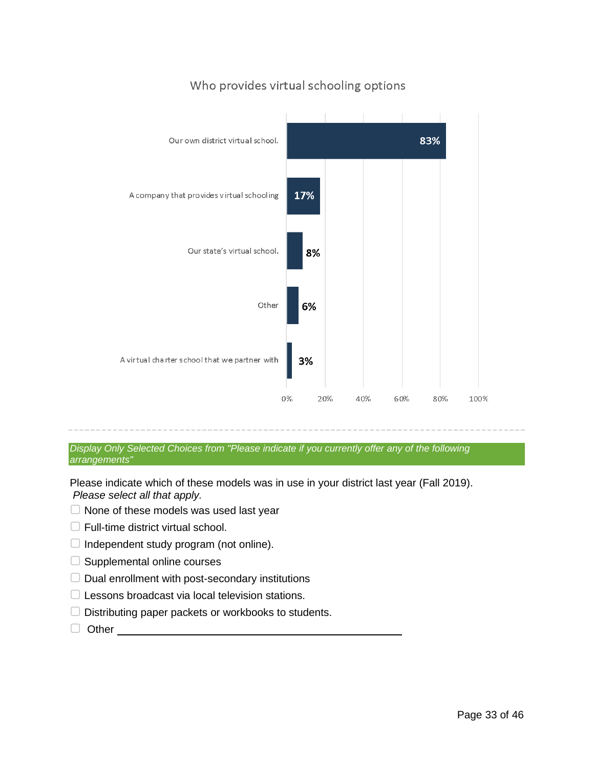

### Who provides virtual schooling options

*Display Only Selected Choices from "Please indicate if you currently offer any of the following arrangements"*

Please indicate which of these models was in use in your district last year (Fall 2019). *Please select all that apply.*

- $\Box$  None of these models was used last year
- □ Full-time district virtual school.
- $\Box$  Independent study program (not online).
- $\Box$  Supplemental online courses
- ▢ Dual enrollment with post-secondary institutions
- ▢ Lessons broadcast via local television stations.
- ▢ Distributing paper packets or workbooks to students.
- ▢ Other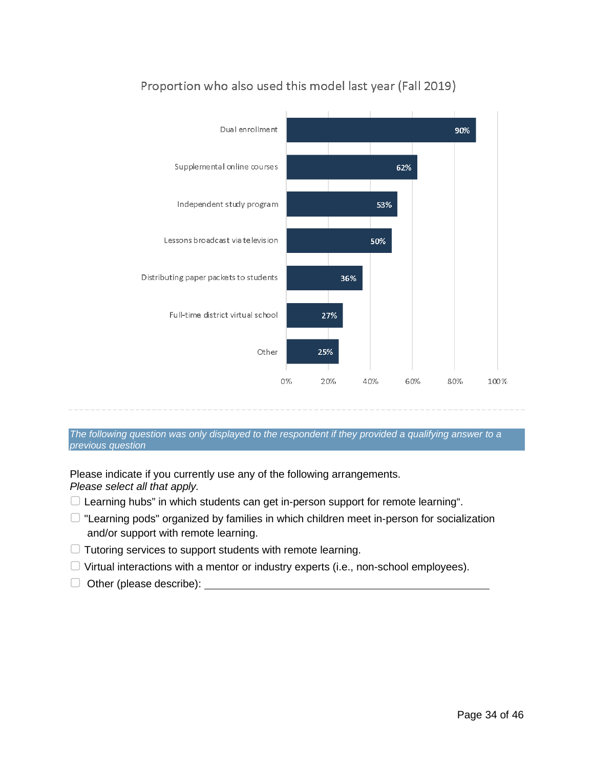

# Proportion who also used this model last year (Fall 2019)

*The following question was only displayed to the respondent if they provided a qualifying answer to a previous question*

Please indicate if you currently use any of the following arrangements. *Please select all that apply.*

- ▢ Learning hubs" in which students can get in-person support for remote learning".
- ▢ "Learning pods" organized by families in which children meet in-person for socialization and/or support with remote learning.
- $\Box$  Tutoring services to support students with remote learning.
- $\Box$  Virtual interactions with a mentor or industry experts (i.e., non-school employees).
- $\Box$  Other (please describe):  $\Box$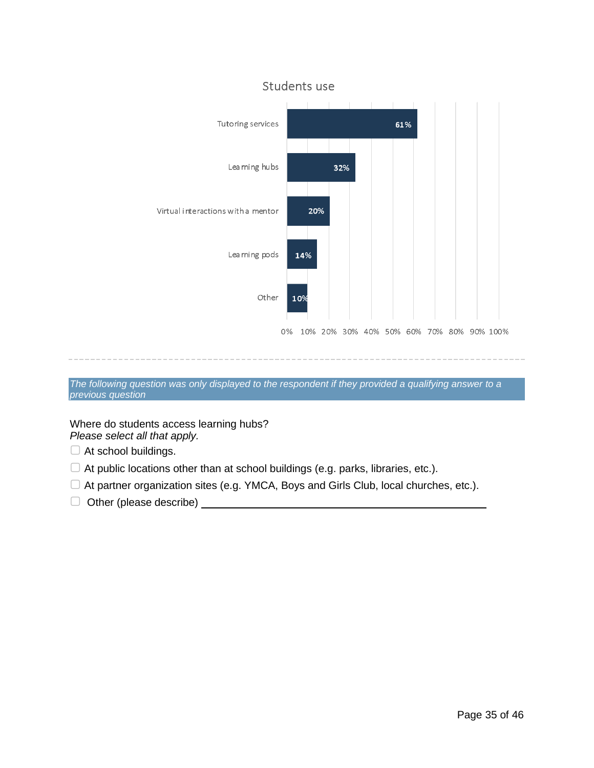

*The following question was only displayed to the respondent if they provided a qualifying answer to a previous question*

Where do students access learning hubs?

*Please select all that apply.*

- $\Box$  At school buildings.
- $\Box$  At public locations other than at school buildings (e.g. parks, libraries, etc.).
- ▢ At partner organization sites (e.g. YMCA, Boys and Girls Club, local churches, etc.).
- □ Other (please describe)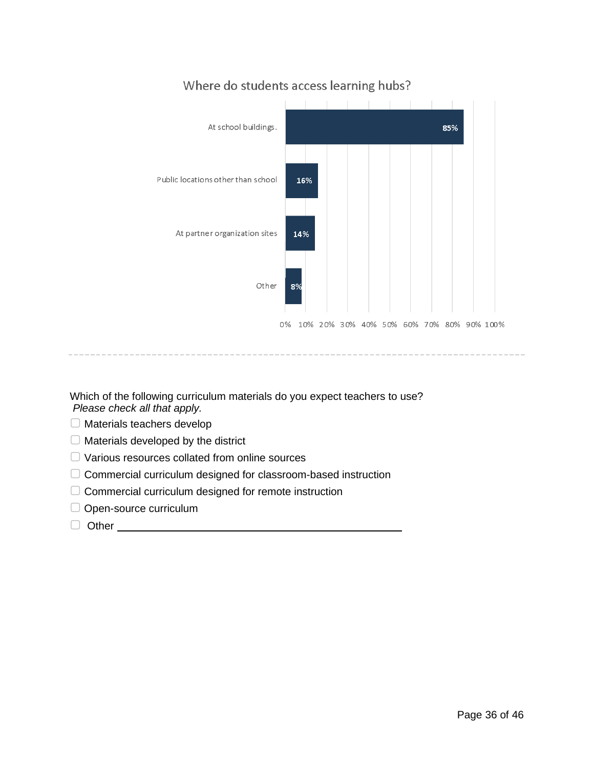

### Where do students access learning hubs?

Which of the following curriculum materials do you expect teachers to use? *Please check all that apply.*

- ▢ Materials teachers develop
- $\Box$  Materials developed by the district
- ▢ Various resources collated from online sources
- ▢ Commercial curriculum designed for classroom-based instruction
- ▢ Commercial curriculum designed for remote instruction
- □ Open-source curriculum
- ▢ Other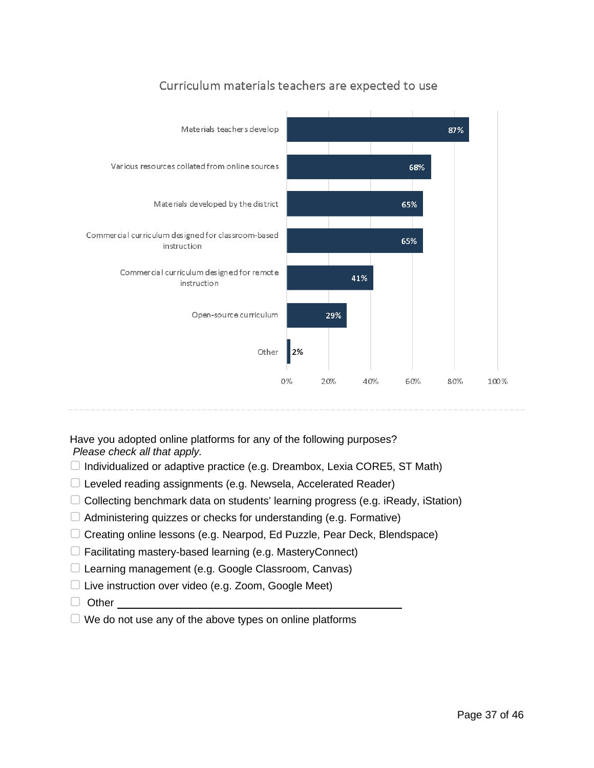

# Curriculum materials teachers are expected to use

Have you adopted online platforms for any of the following purposes? *Please check all that apply.*

- $\Box$  Individualized or adaptive practice (e.g. Dreambox, Lexia CORE5, ST Math)
- $\Box$  Leveled reading assignments (e.g. Newsela, Accelerated Reader)
- ▢ Collecting benchmark data on students' learning progress (e.g. iReady, iStation)
- $\Box$  Administering quizzes or checks for understanding (e.g. Formative)
- ▢ Creating online lessons (e.g. Nearpod, Ed Puzzle, Pear Deck, Blendspace)
- ▢ Facilitating mastery-based learning (e.g. MasteryConnect)
- ▢ Learning management (e.g. Google Classroom, Canvas)
- $\Box$  Live instruction over video (e.g. Zoom, Google Meet)
- □ Other
- $\Box$  We do not use any of the above types on online platforms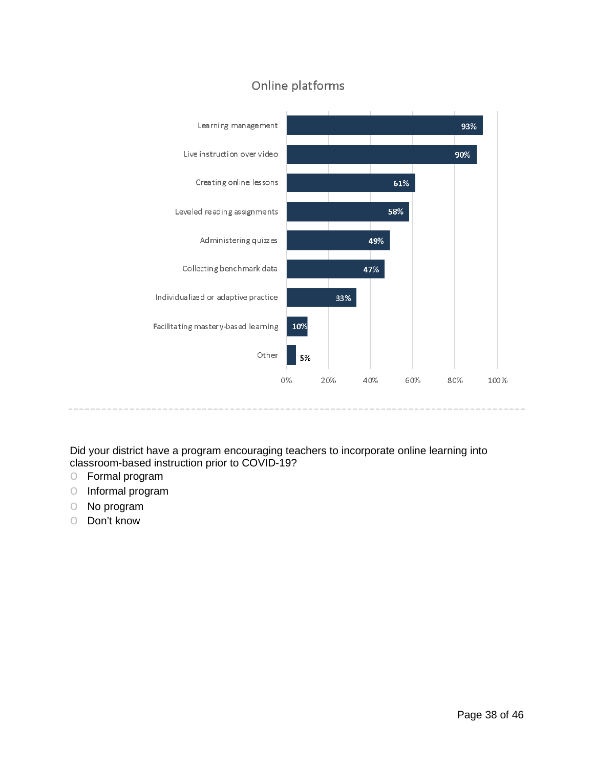

# Online platforms

Did your district have a program encouraging teachers to incorporate online learning into classroom-based instruction prior to COVID-19?

- o Formal program
- o Informal program
- o No program
- o Don't know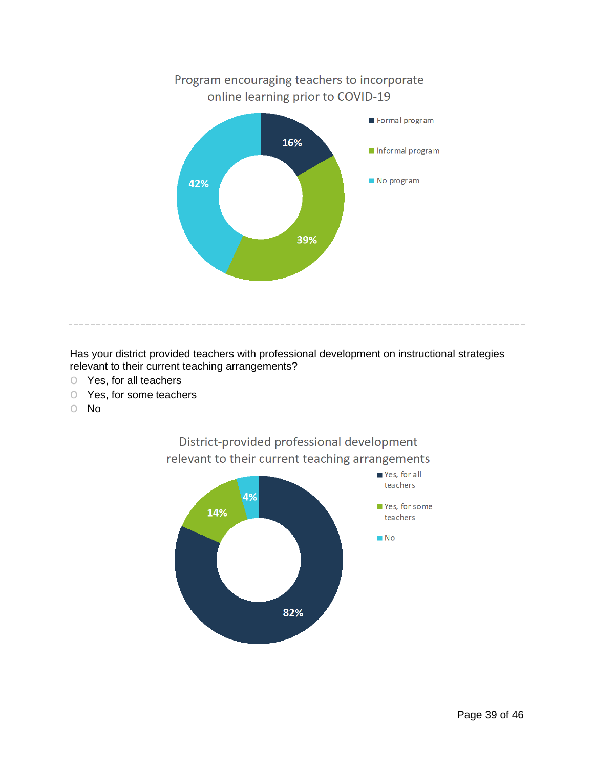

Has your district provided teachers with professional development on instructional strategies relevant to their current teaching arrangements?

- o Yes, for all teachers
- Yes, for some teachers<br>○ No
- o No



District-provided professional development relevant to their current teaching arrangements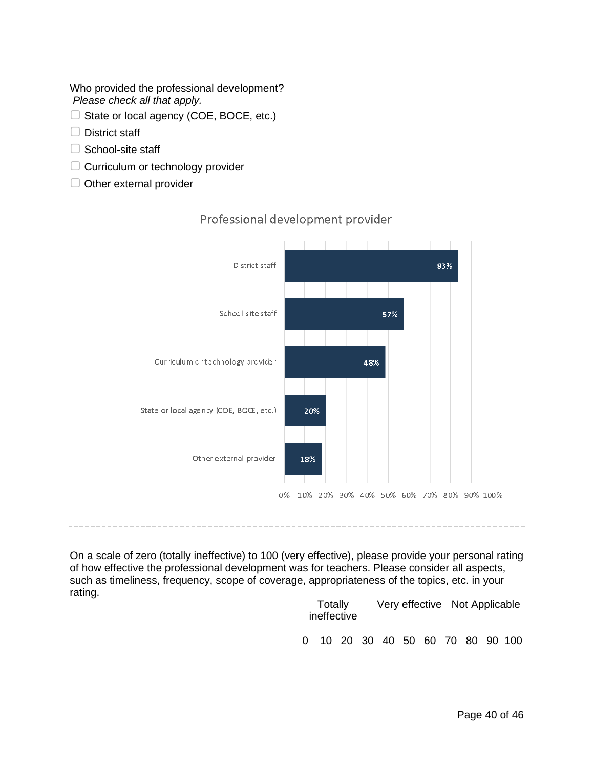Who provided the professional development? *Please check all that apply.*

- $\Box$  State or local agency (COE, BOCE, etc.)
- □ District staff
- □ School-site staff
- □ Curriculum or technology provider
- □ Other external provider



### Professional development provider

On a scale of zero (totally ineffective) to 100 (very effective), please provide your personal rating of how effective the professional development was for teachers. Please consider all aspects, such as timeliness, frequency, scope of coverage, appropriateness of the topics, etc. in your rating.

| Totally<br>ineffective |  |  |  |  | Very effective Not Applicable |  |                                |  |  |  |
|------------------------|--|--|--|--|-------------------------------|--|--------------------------------|--|--|--|
| 0                      |  |  |  |  |                               |  | 10 20 30 40 50 60 70 80 90 100 |  |  |  |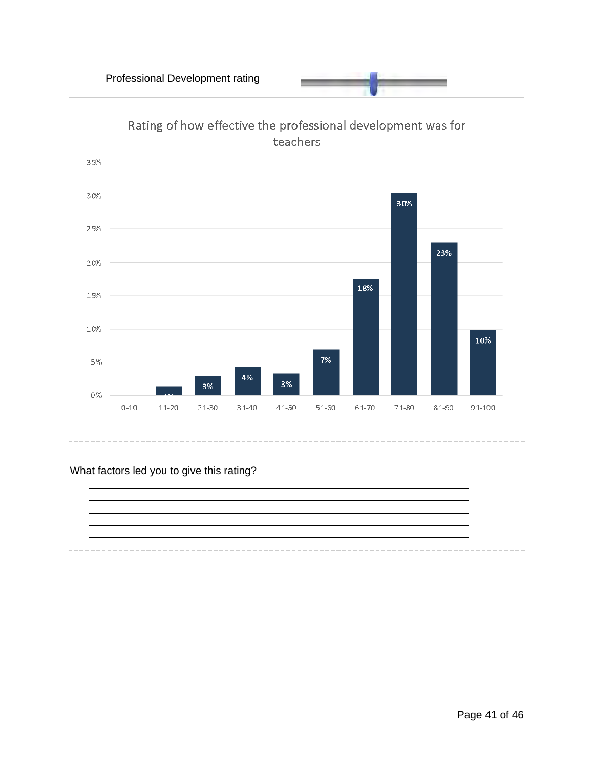Professional Development rating







### What factors led you to give this rating?

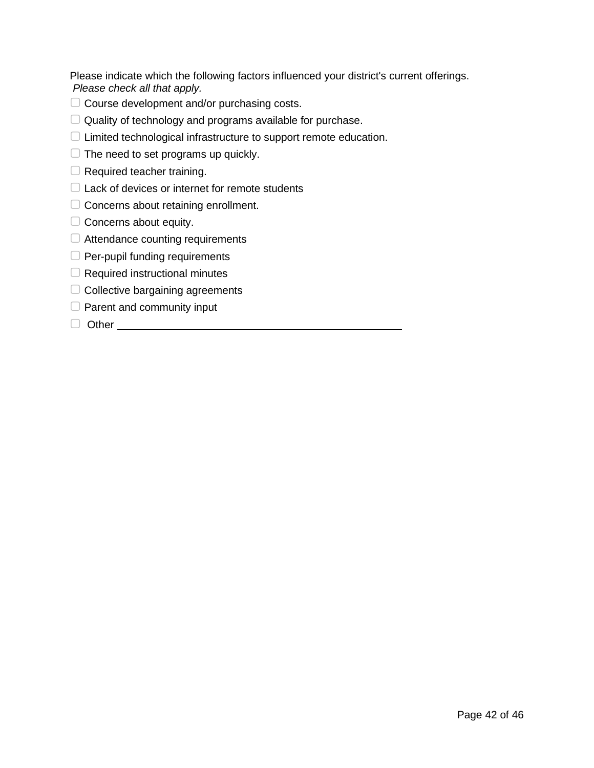Please indicate which the following factors influenced your district's current offerings. *Please check all that apply.*

- ▢ Course development and/or purchasing costs.
- $\Box$  Quality of technology and programs available for purchase.
- ▢ Limited technological infrastructure to support remote education.
- $\Box$  The need to set programs up quickly.
- $\Box$  Required teacher training.
- $\Box$  Lack of devices or internet for remote students
- ▢ Concerns about retaining enrollment.
- $\Box$  Concerns about equity.
- □ Attendance counting requirements
- □ Per-pupil funding requirements
- □ Required instructional minutes
- $\Box$  Collective bargaining agreements
- $\Box$  Parent and community input
- □ Other <u>\_\_\_\_\_\_\_\_\_\_\_\_\_\_\_\_\_\_\_\_\_\_\_\_\_\_\_\_\_\_\_\_</u>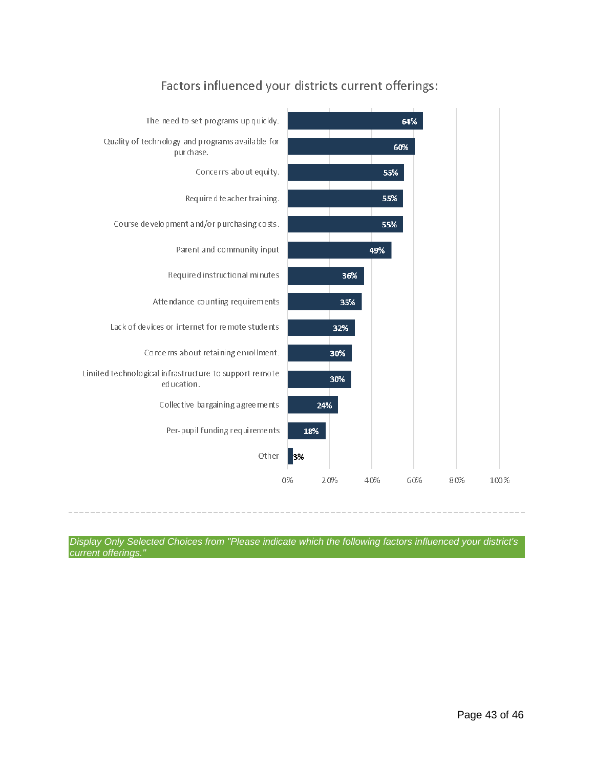

# Factors influenced your districts current offerings:

*Display Only Selected Choices from "Please indicate which the following factors influenced your district's current offerings."*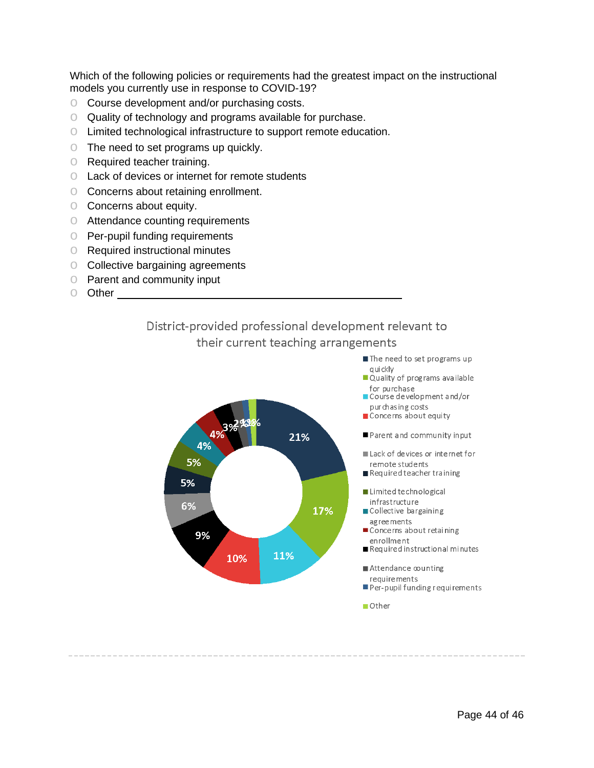Which of the following policies or requirements had the greatest impact on the instructional models you currently use in response to COVID-19?

- Course development and/or purchasing costs.<br>○ Quality of technology and programs available f
- Quality of technology and programs available for purchase.
- o Limited technological infrastructure to support remote education.
- o The need to set programs up quickly.
- o Required teacher training.
- o Lack of devices or internet for remote students
- o Concerns about retaining enrollment.
- o Concerns about equity.
- o Attendance counting requirements
- o Per-pupil funding requirements
- o Required instructional minutes
- o Collective bargaining agreements
- o Parent and community input
- o Other





 $\blacksquare$  Other

The need to set programs up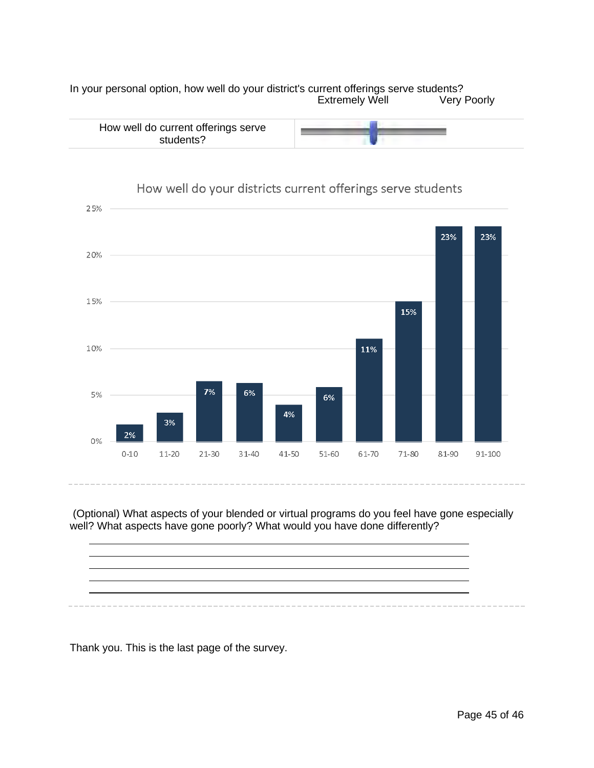In your personal option, how well do your district's current offerings serve students? Extremely Well



#### 25% 23% 23% 20% 15% 15% 10% 11%  $7%$ 6% 5% 6% 4% 3% 2% 0%  $0 - 10$  $11-20$  $21 - 30$  $31 - 40$  $41 - 50$ 51-60 61-70  $71 - 80$ 81-90 91-100

# How well do your districts current offerings serve students

(Optional) What aspects of your blended or virtual programs do you feel have gone especially well? What aspects have gone poorly? What would you have done differently?



Thank you. This is the last page of the survey.